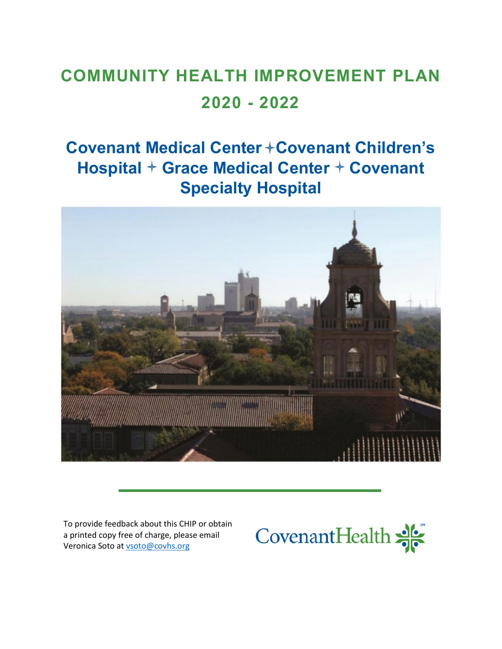# **COMMUNITY HEALTH IMPROVEMENT PLAN 2020 - 2022**

# **Covenant Medical Center + Covenant Children's Hospital + Grace Medical Center + Covenant Specialty Hospital**



To provide feedback about this CHIP or obtain a printed copy free of charge, please email Veronica Soto a[t vsoto@covhs.org](mailto:vsoto@covhs.org)

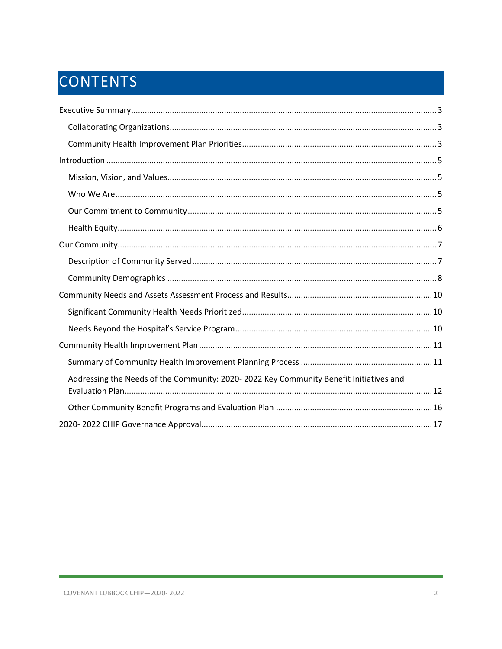# CONTENTS

| Addressing the Needs of the Community: 2020-2022 Key Community Benefit Initiatives and |
|----------------------------------------------------------------------------------------|
|                                                                                        |
|                                                                                        |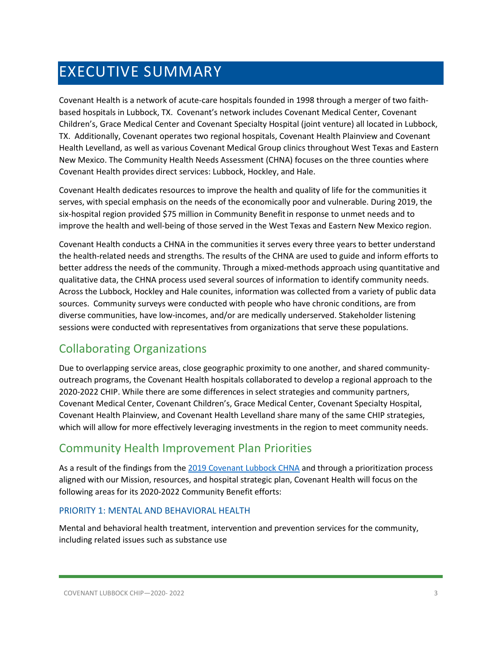# <span id="page-2-0"></span>EXECUTIVE SUMMARY

Covenant Health is a network of acute-care hospitals founded in 1998 through a merger of two faithbased hospitals in Lubbock, TX. Covenant's network includes Covenant Medical Center, Covenant Children's, Grace Medical Center and Covenant Specialty Hospital (joint venture) all located in Lubbock, TX. Additionally, Covenant operates two regional hospitals, Covenant Health Plainview and Covenant Health Levelland, as well as various Covenant Medical Group clinics throughout West Texas and Eastern New Mexico. The Community Health Needs Assessment (CHNA) focuses on the three counties where Covenant Health provides direct services: Lubbock, Hockley, and Hale.

Covenant Health dedicates resources to improve the health and quality of life for the communities it serves, with special emphasis on the needs of the economically poor and vulnerable. During 2019, the six-hospital region provided \$75 million in Community Benefit in response to unmet needs and to improve the health and well-being of those served in the West Texas and Eastern New Mexico region.

Covenant Health conducts a CHNA in the communities it serves every three years to better understand the health-related needs and strengths. The results of the CHNA are used to guide and inform efforts to better address the needs of the community. Through a mixed-methods approach using quantitative and qualitative data, the CHNA process used several sources of information to identify community needs. Across the Lubbock, Hockley and Hale counites, information was collected from a variety of public data sources. Community surveys were conducted with people who have chronic conditions, are from diverse communities, have low-incomes, and/or are medically underserved. Stakeholder listening sessions were conducted with representatives from organizations that serve these populations.

### <span id="page-2-1"></span>Collaborating Organizations

Due to overlapping service areas, close geographic proximity to one another, and shared communityoutreach programs, the Covenant Health hospitals collaborated to develop a regional approach to the 2020-2022 CHIP. While there are some differences in select strategies and community partners, Covenant Medical Center, Covenant Children's, Grace Medical Center, Covenant Specialty Hospital, Covenant Health Plainview, and Covenant Health Levelland share many of the same CHIP strategies, which will allow for more effectively leveraging investments in the region to meet community needs.

### <span id="page-2-2"></span>Community Health Improvement Plan Priorities

As a result of the findings from th[e 2019 Covenant Lubbock CHNA](https://www.providence.org/-/media/Project/psjh/providence/socal/Files/about/community-benefit/reports/2019chna-covenantlubbock.pdf?la=en&hash=08740279AF0431C0F50054AE1D91EB00) and through a prioritization process aligned with our Mission, resources, and hospital strategic plan, Covenant Health will focus on the following areas for its 2020-2022 Community Benefit efforts:

### PRIORITY 1: MENTAL AND BEHAVIORAL HEALTH

Mental and behavioral health treatment, intervention and prevention services for the community, including related issues such as substance use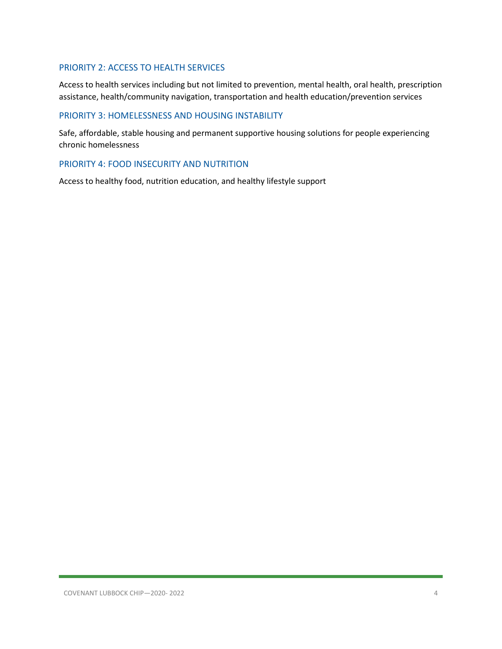### PRIORITY 2: ACCESS TO HEALTH SERVICES

Access to health services including but not limited to prevention, mental health, oral health, prescription assistance, health/community navigation, transportation and health education/prevention services

### PRIORITY 3: HOMELESSNESS AND HOUSING INSTABILITY

Safe, affordable, stable housing and permanent supportive housing solutions for people experiencing chronic homelessness

### PRIORITY 4: FOOD INSECURITY AND NUTRITION

Access to healthy food, nutrition education, and healthy lifestyle support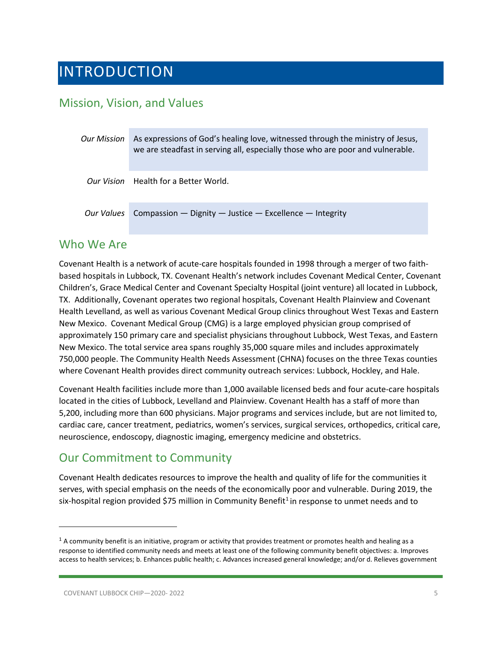## <span id="page-4-0"></span>INTRODUCTION

### <span id="page-4-1"></span>Mission, Vision, and Values

| Our Mission | As expressions of God's healing love, witnessed through the ministry of Jesus,<br>we are steadfast in serving all, especially those who are poor and vulnerable. |
|-------------|------------------------------------------------------------------------------------------------------------------------------------------------------------------|
|             | Our Vision Health for a Better World.                                                                                                                            |
| Our Values  | Compassion $-$ Dignity $-$ Justice $-$ Excellence $-$ Integrity                                                                                                  |

### <span id="page-4-2"></span>Who We Are

Covenant Health is a network of acute-care hospitals founded in 1998 through a merger of two faithbased hospitals in Lubbock, TX. Covenant Health's network includes Covenant Medical Center, Covenant Children's, Grace Medical Center and Covenant Specialty Hospital (joint venture) all located in Lubbock, TX. Additionally, Covenant operates two regional hospitals, Covenant Health Plainview and Covenant Health Levelland, as well as various Covenant Medical Group clinics throughout West Texas and Eastern New Mexico. Covenant Medical Group (CMG) is a large employed physician group comprised of approximately 150 primary care and specialist physicians throughout Lubbock, West Texas, and Eastern New Mexico. The total service area spans roughly 35,000 square miles and includes approximately 750,000 people. The Community Health Needs Assessment (CHNA) focuses on the three Texas counties where Covenant Health provides direct community outreach services: Lubbock, Hockley, and Hale.

Covenant Health facilities include more than 1,000 available licensed beds and four acute-care hospitals located in the cities of Lubbock, Levelland and Plainview. Covenant Health has a staff of more than 5,200, including more than 600 physicians. Major programs and services include, but are not limited to, cardiac care, cancer treatment, pediatrics, women's services, surgical services, orthopedics, critical care, neuroscience, endoscopy, diagnostic imaging, emergency medicine and obstetrics.

### <span id="page-4-3"></span>Our Commitment to Community

Covenant Health dedicates resources to improve the health and quality of life for the communities it serves, with special emphasis on the needs of the economically poor and vulnerable. During 2019, the six-hospital region provided \$75 million in Community Benefit<sup>[1](#page-4-4)</sup> in response to unmet needs and to

<span id="page-4-4"></span> $1$  A community benefit is an initiative, program or activity that provides treatment or promotes health and healing as a response to identified community needs and meets at least one of the following community benefit objectives: a. Improves access to health services; b. Enhances public health; c. Advances increased general knowledge; and/or d. Relieves government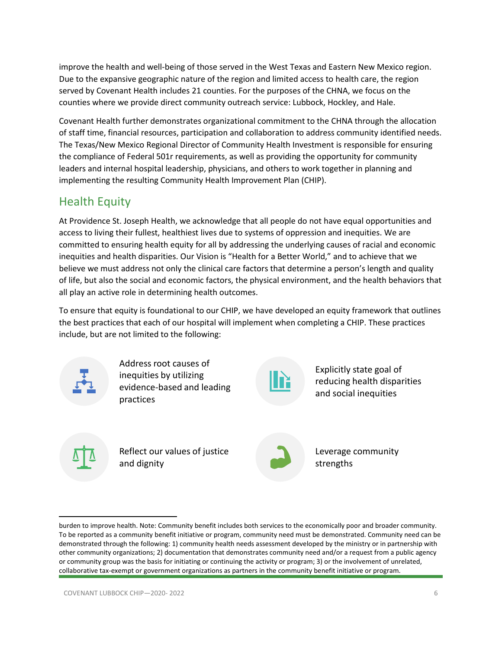improve the health and well-being of those served in the West Texas and Eastern New Mexico region. Due to the expansive geographic nature of the region and limited access to health care, the region served by Covenant Health includes 21 counties. For the purposes of the CHNA, we focus on the counties where we provide direct community outreach service: Lubbock, Hockley, and Hale.

Covenant Health further demonstrates organizational commitment to the CHNA through the allocation of staff time, financial resources, participation and collaboration to address community identified needs. The Texas/New Mexico Regional Director of Community Health Investment is responsible for ensuring the compliance of Federal 501r requirements, as well as providing the opportunity for community leaders and internal hospital leadership, physicians, and others to work together in planning and implementing the resulting Community Health Improvement Plan (CHIP).

### <span id="page-5-0"></span>Health Equity

At Providence St. Joseph Health, we acknowledge that all people do not have equal opportunities and access to living their fullest, healthiest lives due to systems of oppression and inequities. We are committed to ensuring health equity for all by addressing the underlying causes of racial and economic inequities and health disparities. Our Vision is "Health for a Better World," and to achieve that we believe we must address not only the clinical care factors that determine a person's length and quality of life, but also the social and economic factors, the physical environment, and the health behaviors that all play an active role in determining health outcomes.

To ensure that equity is foundational to our CHIP, we have developed an equity framework that outlines the best practices that each of our hospital will implement when completing a CHIP. These practices include, but are not limited to the following:



Address root causes of inequities by utilizing evidence-based and leading practices



Explicitly state goal of reducing health disparities and social inequities



Reflect our values of justice and dignity



Leverage community strengths

burden to improve health. Note: Community benefit includes both services to the economically poor and broader community. To be reported as a community benefit initiative or program, community need must be demonstrated. Community need can be demonstrated through the following: 1) community health needs assessment developed by the ministry or in partnership with other community organizations; 2) documentation that demonstrates community need and/or a request from a public agency or community group was the basis for initiating or continuing the activity or program; 3) or the involvement of unrelated, collaborative tax-exempt or government organizations as partners in the community benefit initiative or program.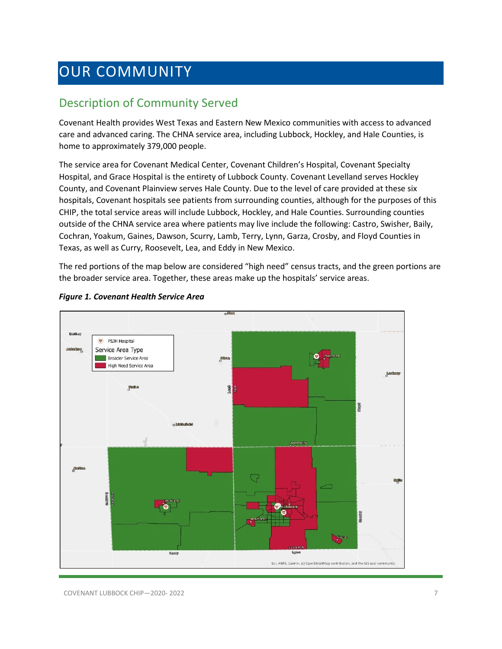## <span id="page-6-0"></span>OUR COMMUNITY

### <span id="page-6-1"></span>Description of Community Served

Covenant Health provides West Texas and Eastern New Mexico communities with access to advanced care and advanced caring. The CHNA service area, including Lubbock, Hockley, and Hale Counties, is home to approximately 379,000 people.

The service area for Covenant Medical Center, Covenant Children's Hospital, Covenant Specialty Hospital, and Grace Hospital is the entirety of Lubbock County. Covenant Levelland serves Hockley County, and Covenant Plainview serves Hale County. Due to the level of care provided at these six hospitals, Covenant hospitals see patients from surrounding counties, although for the purposes of this CHIP, the total service areas will include Lubbock, Hockley, and Hale Counties. Surrounding counties outside of the CHNA service area where patients may live include the following: Castro, Swisher, Baily, Cochran, Yoakum, Gaines, Dawson, Scurry, Lamb, Terry, Lynn, Garza, Crosby, and Floyd Counties in Texas, as well as Curry, Roosevelt, Lea, and Eddy in New Mexico.

The red portions of the map below are considered "high need" census tracts, and the green portions are the broader service area. Together, these areas make up the hospitals' service areas.



#### *Figure 1. Covenant Health Service Area*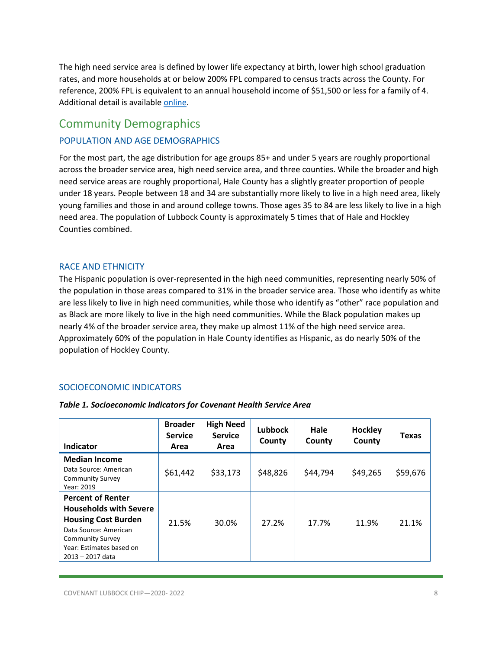The high need service area is defined by lower life expectancy at birth, lower high school graduation rates, and more households at or below 200% FPL compared to census tracts across the County. For reference, 200% FPL is equivalent to an annual household income of \$51,500 or less for a family of 4. Additional detail is availabl[e online.](https://psjh.maps.arcgis.com/apps/opsdashboard/index.html#/3213ef87f2dd420a9d0f78aaab2f5984)

### <span id="page-7-0"></span>Community Demographics

### POPULATION AND AGE DEMOGRAPHICS

For the most part, the age distribution for age groups 85+ and under 5 years are roughly proportional across the broader service area, high need service area, and three counties. While the broader and high need service areas are roughly proportional, Hale County has a slightly greater proportion of people under 18 years. People between 18 and 34 are substantially more likely to live in a high need area, likely young families and those in and around college towns. Those ages 35 to 84 are less likely to live in a high need area. The population of Lubbock County is approximately 5 times that of Hale and Hockley Counties combined.

### RACE AND ETHNICITY

The Hispanic population is over-represented in the high need communities, representing nearly 50% of the population in those areas compared to 31% in the broader service area. Those who identify as white are less likely to live in high need communities, while those who identify as "other" race population and as Black are more likely to live in the high need communities. While the Black population makes up nearly 4% of the broader service area, they make up almost 11% of the high need service area. Approximately 60% of the population in Hale County identifies as Hispanic, as do nearly 50% of the population of Hockley County.

### SOCIOECONOMIC INDICATORS

| Indicator                                                                                                                                                                                   | <b>Broader</b><br><b>Service</b><br>Area | <b>High Need</b><br><b>Service</b><br>Area | <b>Lubbock</b><br>County | Hale<br>County | Hockley<br>County | <b>Texas</b> |
|---------------------------------------------------------------------------------------------------------------------------------------------------------------------------------------------|------------------------------------------|--------------------------------------------|--------------------------|----------------|-------------------|--------------|
| <b>Median Income</b><br>Data Source: American<br><b>Community Survey</b><br>Year: 2019                                                                                                      | \$61,442                                 | \$33,173                                   | \$48,826                 | \$44,794       | \$49,265          | \$59,676     |
| <b>Percent of Renter</b><br><b>Households with Severe</b><br><b>Housing Cost Burden</b><br>Data Source: American<br><b>Community Survey</b><br>Year: Estimates based on<br>2013 - 2017 data | 21.5%                                    | 30.0%                                      | 27.2%                    | 17.7%          | 11.9%             | 21.1%        |

#### *Table 1. Socioeconomic Indicators for Covenant Health Service Area*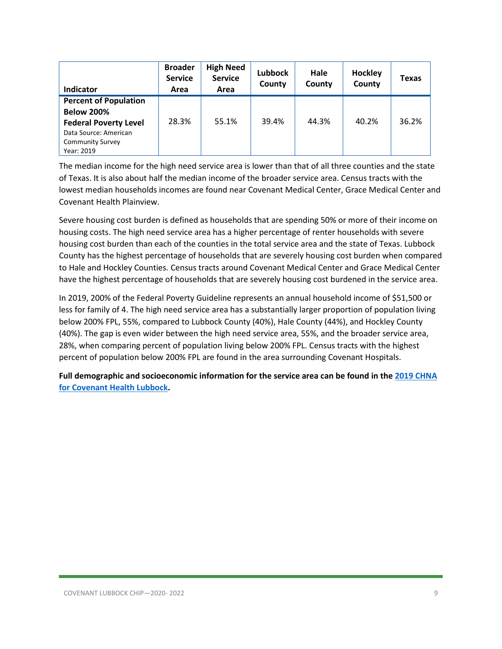| Indicator                    | <b>Broader</b><br><b>Service</b><br>Area | <b>High Need</b><br><b>Service</b><br>Area | Lubbock<br>County | Hale<br>County | Hockley<br>County | <b>Texas</b> |
|------------------------------|------------------------------------------|--------------------------------------------|-------------------|----------------|-------------------|--------------|
| <b>Percent of Population</b> |                                          |                                            |                   |                |                   |              |
| <b>Below 200%</b>            |                                          |                                            |                   |                |                   |              |
| <b>Federal Poverty Level</b> | 28.3%                                    | 55.1%                                      | 39.4%             | 44.3%          | 40.2%             | 36.2%        |
| Data Source: American        |                                          |                                            |                   |                |                   |              |
| <b>Community Survey</b>      |                                          |                                            |                   |                |                   |              |
| Year: 2019                   |                                          |                                            |                   |                |                   |              |

The median income for the high need service area is lower than that of all three counties and the state of Texas. It is also about half the median income of the broader service area. Census tracts with the lowest median households incomes are found near Covenant Medical Center, Grace Medical Center and Covenant Health Plainview.

Severe housing cost burden is defined as households that are spending 50% or more of their income on housing costs. The high need service area has a higher percentage of renter households with severe housing cost burden than each of the counties in the total service area and the state of Texas. Lubbock County has the highest percentage of households that are severely housing cost burden when compared to Hale and Hockley Counties. Census tracts around Covenant Medical Center and Grace Medical Center have the highest percentage of households that are severely housing cost burdened in the service area.

In 2019, 200% of the Federal Poverty Guideline represents an annual household income of \$51,500 or less for family of 4. The high need service area has a substantially larger proportion of population living below 200% FPL, 55%, compared to Lubbock County (40%), Hale County (44%), and Hockley County (40%). The gap is even wider between the high need service area, 55%, and the broader service area, 28%, when comparing percent of population living below 200% FPL. Census tracts with the highest percent of population below 200% FPL are found in the area surrounding Covenant Hospitals.

**Full demographic and socioeconomic information for the service area can be found in th[e 2019 CHNA](https://www.providence.org/-/media/Project/psjh/providence/socal/Files/about/community-benefit/reports/2019chna-covenantlubbock.pdf?la=en&hash=08740279AF0431C0F50054AE1D91EB00)  [for Covenant Health Lubbock.](https://www.providence.org/-/media/Project/psjh/providence/socal/Files/about/community-benefit/reports/2019chna-covenantlubbock.pdf?la=en&hash=08740279AF0431C0F50054AE1D91EB00)**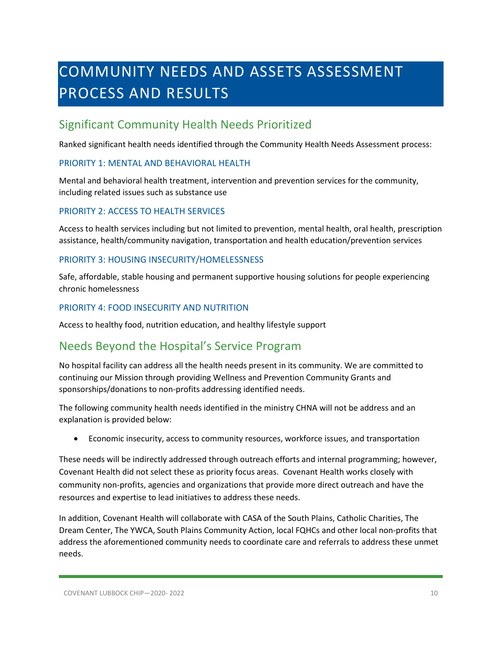# <span id="page-9-0"></span>COMMUNITY NEEDS AND ASSETS ASSESSMENT PROCESS AND RESULTS

### <span id="page-9-1"></span>Significant Community Health Needs Prioritized

Ranked significant health needs identified through the Community Health Needs Assessment process:

### PRIORITY 1: MENTAL AND BEHAVIORAL HEALTH

Mental and behavioral health treatment, intervention and prevention services for the community, including related issues such as substance use

### PRIORITY 2: ACCESS TO HEALTH SERVICES

Access to health services including but not limited to prevention, mental health, oral health, prescription assistance, health/community navigation, transportation and health education/prevention services

### PRIORITY 3: HOUSING INSECURITY/HOMELESSNESS

Safe, affordable, stable housing and permanent supportive housing solutions for people experiencing chronic homelessness

### PRIORITY 4: FOOD INSECURITY AND NUTRITION

Access to healthy food, nutrition education, and healthy lifestyle support

### <span id="page-9-2"></span>Needs Beyond the Hospital's Service Program

No hospital facility can address all the health needs present in its community. We are committed to continuing our Mission through providing Wellness and Prevention Community Grants and sponsorships/donations to non-profits addressing identified needs.

The following community health needs identified in the ministry CHNA will not be address and an explanation is provided below:

• Economic insecurity, access to community resources, workforce issues, and transportation

These needs will be indirectly addressed through outreach efforts and internal programming; however, Covenant Health did not select these as priority focus areas. Covenant Health works closely with community non-profits, agencies and organizations that provide more direct outreach and have the resources and expertise to lead initiatives to address these needs.

In addition, Covenant Health will collaborate with CASA of the South Plains, Catholic Charities, The Dream Center, The YWCA, South Plains Community Action, local FQHCs and other local non-profits that address the aforementioned community needs to coordinate care and referrals to address these unmet needs.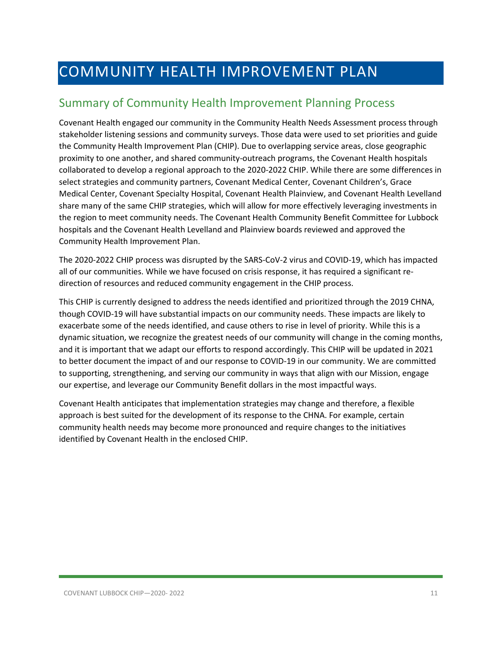## <span id="page-10-0"></span>COMMUNITY HEALTH IMPROVEMENT PLAN

### <span id="page-10-1"></span>Summary of Community Health Improvement Planning Process

Covenant Health engaged our community in the Community Health Needs Assessment process through stakeholder listening sessions and community surveys. Those data were used to set priorities and guide the Community Health Improvement Plan (CHIP). Due to overlapping service areas, close geographic proximity to one another, and shared community-outreach programs, the Covenant Health hospitals collaborated to develop a regional approach to the 2020-2022 CHIP. While there are some differences in select strategies and community partners, Covenant Medical Center, Covenant Children's, Grace Medical Center, Covenant Specialty Hospital, Covenant Health Plainview, and Covenant Health Levelland share many of the same CHIP strategies, which will allow for more effectively leveraging investments in the region to meet community needs. The Covenant Health Community Benefit Committee for Lubbock hospitals and the Covenant Health Levelland and Plainview boards reviewed and approved the Community Health Improvement Plan.

The 2020-2022 CHIP process was disrupted by the SARS-CoV-2 virus and COVID-19, which has impacted all of our communities. While we have focused on crisis response, it has required a significant redirection of resources and reduced community engagement in the CHIP process.

This CHIP is currently designed to address the needs identified and prioritized through the 2019 CHNA, though COVID-19 will have substantial impacts on our community needs. These impacts are likely to exacerbate some of the needs identified, and cause others to rise in level of priority. While this is a dynamic situation, we recognize the greatest needs of our community will change in the coming months, and it is important that we adapt our efforts to respond accordingly. This CHIP will be updated in 2021 to better document the impact of and our response to COVID-19 in our community. We are committed to supporting, strengthening, and serving our community in ways that align with our Mission, engage our expertise, and leverage our Community Benefit dollars in the most impactful ways.

Covenant Health anticipates that implementation strategies may change and therefore, a flexible approach is best suited for the development of its response to the CHNA. For example, certain community health needs may become more pronounced and require changes to the initiatives identified by Covenant Health in the enclosed CHIP.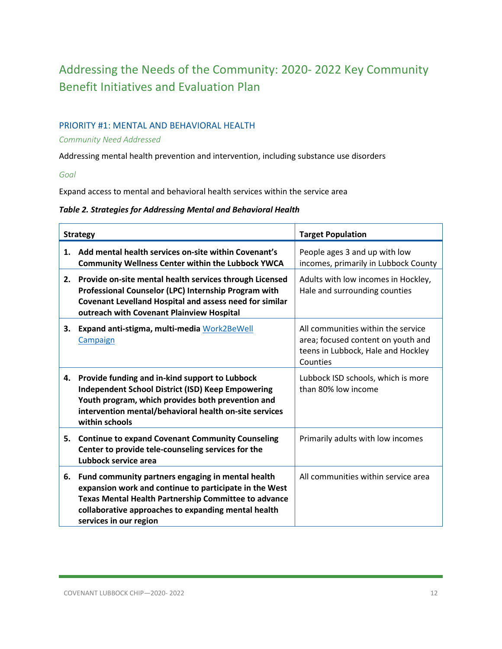## <span id="page-11-0"></span>Addressing the Needs of the Community: 2020- 2022 Key Community Benefit Initiatives and Evaluation Plan

### PRIORITY #1: MENTAL AND BEHAVIORAL HEALTH

### *Community Need Addressed*

Addressing mental health prevention and intervention, including substance use disorders

*Goal*

Expand access to mental and behavioral health services within the service area

### *Table 2. Strategies for Addressing Mental and Behavioral Health*

| <b>Strategy</b> |                                                                                                                                                                                                                                                      | <b>Target Population</b>                                                                                                   |
|-----------------|------------------------------------------------------------------------------------------------------------------------------------------------------------------------------------------------------------------------------------------------------|----------------------------------------------------------------------------------------------------------------------------|
| 1.              | Add mental health services on-site within Covenant's<br><b>Community Wellness Center within the Lubbock YWCA</b>                                                                                                                                     | People ages 3 and up with low<br>incomes, primarily in Lubbock County                                                      |
| 2.              | Provide on-site mental health services through Licensed<br>Professional Counselor (LPC) Internship Program with<br>Covenant Levelland Hospital and assess need for similar<br>outreach with Covenant Plainview Hospital                              | Adults with low incomes in Hockley,<br>Hale and surrounding counties                                                       |
| 3.              | Expand anti-stigma, multi-media Work2BeWell<br>Campaign                                                                                                                                                                                              | All communities within the service<br>area; focused content on youth and<br>teens in Lubbock, Hale and Hockley<br>Counties |
|                 | 4. Provide funding and in-kind support to Lubbock<br><b>Independent School District (ISD) Keep Empowering</b><br>Youth program, which provides both prevention and<br>intervention mental/behavioral health on-site services<br>within schools       | Lubbock ISD schools, which is more<br>than 80% low income                                                                  |
| 5.              | <b>Continue to expand Covenant Community Counseling</b><br>Center to provide tele-counseling services for the<br>Lubbock service area                                                                                                                | Primarily adults with low incomes                                                                                          |
| 6.              | Fund community partners engaging in mental health<br>expansion work and continue to participate in the West<br>Texas Mental Health Partnership Committee to advance<br>collaborative approaches to expanding mental health<br>services in our region | All communities within service area                                                                                        |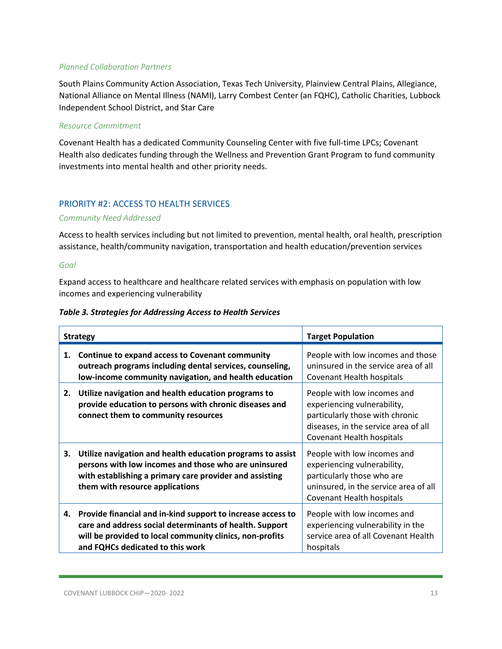South Plains Community Action Association, Texas Tech University, Plainview Central Plains, Allegiance, National Alliance on Mental Illness (NAMI), Larry Combest Center (an FQHC), Catholic Charities, Lubbock Independent School District, and Star Care

### *Resource Commitment*

Covenant Health has a dedicated Community Counseling Center with five full-time LPCs; Covenant Health also dedicates funding through the Wellness and Prevention Grant Program to fund community investments into mental health and other priority needs.

### PRIORITY #2: ACCESS TO HEALTH SERVICES

### *Community Need Addressed*

Access to health services including but not limited to prevention, mental health, oral health, prescription assistance, health/community navigation, transportation and health education/prevention services

### *Goal*

Expand access to healthcare and healthcare related services with emphasis on population with low incomes and experiencing vulnerability

| <b>Table 3. Strategies for Addressing Access to Health Services</b> |  |  |  |  |
|---------------------------------------------------------------------|--|--|--|--|
|---------------------------------------------------------------------|--|--|--|--|

|    | <b>Strategy</b>                                                                                                                                                                                                        | <b>Target Population</b>                                                                                                                                           |
|----|------------------------------------------------------------------------------------------------------------------------------------------------------------------------------------------------------------------------|--------------------------------------------------------------------------------------------------------------------------------------------------------------------|
| 1. | Continue to expand access to Covenant community<br>outreach programs including dental services, counseling,<br>low-income community navigation, and health education                                                   | People with low incomes and those<br>uninsured in the service area of all<br>Covenant Health hospitals                                                             |
| 2. | Utilize navigation and health education programs to<br>provide education to persons with chronic diseases and<br>connect them to community resources                                                                   | People with low incomes and<br>experiencing vulnerability,<br>particularly those with chronic<br>diseases, in the service area of all<br>Covenant Health hospitals |
| 3. | Utilize navigation and health education programs to assist<br>persons with low incomes and those who are uninsured<br>with establishing a primary care provider and assisting<br>them with resource applications       | People with low incomes and<br>experiencing vulnerability,<br>particularly those who are<br>uninsured, in the service area of all<br>Covenant Health hospitals     |
| 4. | Provide financial and in-kind support to increase access to<br>care and address social determinants of health. Support<br>will be provided to local community clinics, non-profits<br>and FQHCs dedicated to this work | People with low incomes and<br>experiencing vulnerability in the<br>service area of all Covenant Health<br>hospitals                                               |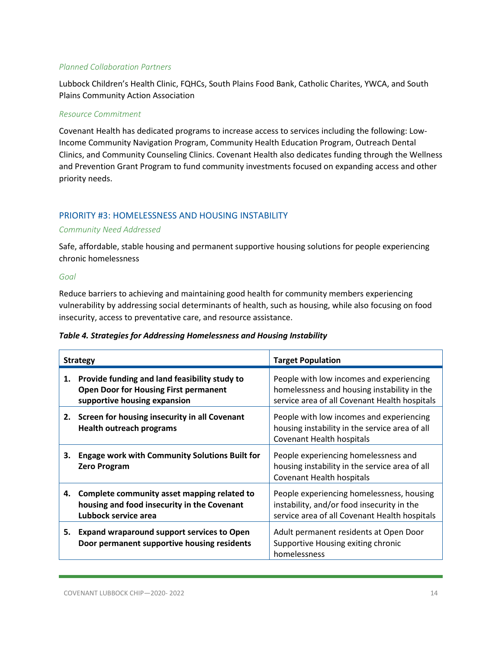Lubbock Children's Health Clinic, FQHCs, South Plains Food Bank, Catholic Charites, YWCA, and South Plains Community Action Association

#### *Resource Commitment*

Covenant Health has dedicated programs to increase access to services including the following: Low-Income Community Navigation Program, Community Health Education Program, Outreach Dental Clinics, and Community Counseling Clinics. Covenant Health also dedicates funding through the Wellness and Prevention Grant Program to fund community investments focused on expanding access and other priority needs.

### PRIORITY #3: HOMELESSNESS AND HOUSING INSTABILITY

### *Community Need Addressed*

Safe, affordable, stable housing and permanent supportive housing solutions for people experiencing chronic homelessness

*Goal*

Reduce barriers to achieving and maintaining good health for community members experiencing vulnerability by addressing social determinants of health, such as housing, while also focusing on food insecurity, access to preventative care, and resource assistance.

| Table 4. Strategies for Addressing Homelessness and Housing Instability |  |  |
|-------------------------------------------------------------------------|--|--|
|-------------------------------------------------------------------------|--|--|

|    | <b>Strategy</b>                                                                                                               | <b>Target Population</b>                                                                                                                 |
|----|-------------------------------------------------------------------------------------------------------------------------------|------------------------------------------------------------------------------------------------------------------------------------------|
| 1. | Provide funding and land feasibility study to<br><b>Open Door for Housing First permanent</b><br>supportive housing expansion | People with low incomes and experiencing<br>homelessness and housing instability in the<br>service area of all Covenant Health hospitals |
|    | 2. Screen for housing insecurity in all Covenant<br><b>Health outreach programs</b>                                           | People with low incomes and experiencing<br>housing instability in the service area of all<br>Covenant Health hospitals                  |
| З. | <b>Engage work with Community Solutions Built for</b><br><b>Zero Program</b>                                                  | People experiencing homelessness and<br>housing instability in the service area of all<br>Covenant Health hospitals                      |
| 4. | Complete community asset mapping related to<br>housing and food insecurity in the Covenant<br>Lubbock service area            | People experiencing homelessness, housing<br>instability, and/or food insecurity in the<br>service area of all Covenant Health hospitals |
| 5. | <b>Expand wraparound support services to Open</b><br>Door permanent supportive housing residents                              | Adult permanent residents at Open Door<br>Supportive Housing exiting chronic<br>homelessness                                             |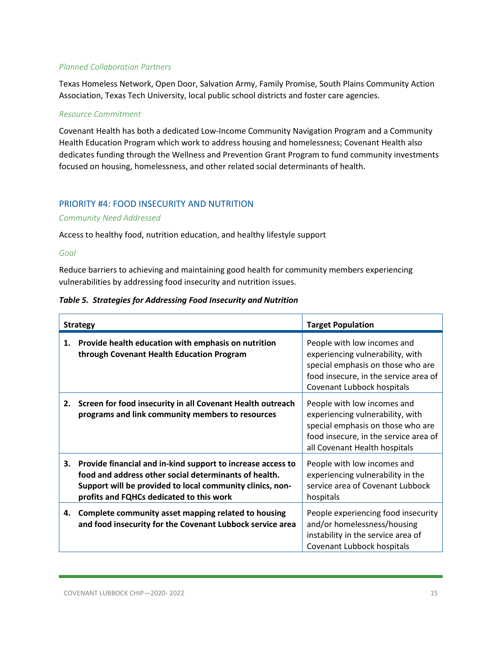Texas Homeless Network, Open Door, Salvation Army, Family Promise, South Plains Community Action Association, Texas Tech University, local public school districts and foster care agencies.

#### *Resource Commitment*

Covenant Health has both a dedicated Low-Income Community Navigation Program and a Community Health Education Program which work to address housing and homelessness; Covenant Health also dedicates funding through the Wellness and Prevention Grant Program to fund community investments focused on housing, homelessness, and other related social determinants of health.

### PRIORITY #4: FOOD INSECURITY AND NUTRITION

#### *Community Need Addressed*

Access to healthy food, nutrition education, and healthy lifestyle support

#### *Goal*

Reduce barriers to achieving and maintaining good health for community members experiencing vulnerabilities by addressing food insecurity and nutrition issues.

### *Table 5. Strategies for Addressing Food Insecurity and Nutrition*

|    | <b>Strategy</b>                                                                                                                                                                                                               | <b>Target Population</b>                                                                                                                                                       |
|----|-------------------------------------------------------------------------------------------------------------------------------------------------------------------------------------------------------------------------------|--------------------------------------------------------------------------------------------------------------------------------------------------------------------------------|
| 1. | Provide health education with emphasis on nutrition<br>through Covenant Health Education Program                                                                                                                              | People with low incomes and<br>experiencing vulnerability, with<br>special emphasis on those who are<br>food insecure, in the service area of<br>Covenant Lubbock hospitals    |
| 2. | Screen for food insecurity in all Covenant Health outreach<br>programs and link community members to resources                                                                                                                | People with low incomes and<br>experiencing vulnerability, with<br>special emphasis on those who are<br>food insecure, in the service area of<br>all Covenant Health hospitals |
| 3. | Provide financial and in-kind support to increase access to<br>food and address other social determinants of health.<br>Support will be provided to local community clinics, non-<br>profits and FQHCs dedicated to this work | People with low incomes and<br>experiencing vulnerability in the<br>service area of Covenant Lubbock<br>hospitals                                                              |
| 4. | Complete community asset mapping related to housing<br>and food insecurity for the Covenant Lubbock service area                                                                                                              | People experiencing food insecurity<br>and/or homelessness/housing<br>instability in the service area of<br>Covenant Lubbock hospitals                                         |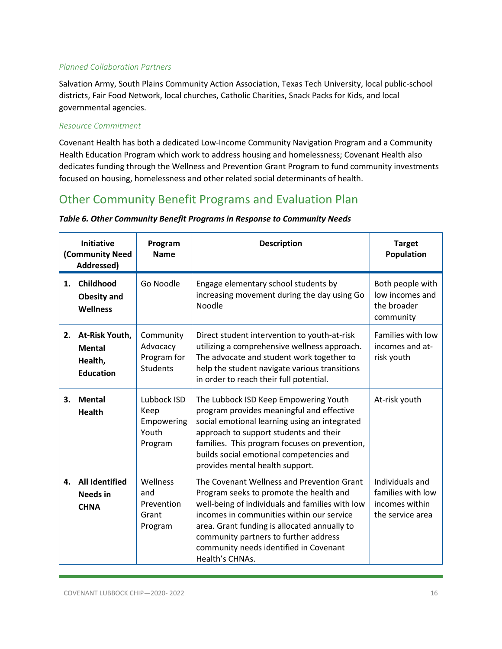Salvation Army, South Plains Community Action Association, Texas Tech University, local public-school districts, Fair Food Network, local churches, Catholic Charities, Snack Packs for Kids, and local governmental agencies.

### *Resource Commitment*

Covenant Health has both a dedicated Low-Income Community Navigation Program and a Community Health Education Program which work to address housing and homelessness; Covenant Health also dedicates funding through the Wellness and Prevention Grant Program to fund community investments focused on housing, homelessness and other related social determinants of health.

### <span id="page-15-0"></span>Other Community Benefit Programs and Evaluation Plan

| <b>Initiative</b><br>(Community Need<br>Addressed) |                                                                | Program<br><b>Name</b>                                  | <b>Description</b>                                                                                                                                                                                                                                                                                                                          | <b>Target</b><br>Population                                                |
|----------------------------------------------------|----------------------------------------------------------------|---------------------------------------------------------|---------------------------------------------------------------------------------------------------------------------------------------------------------------------------------------------------------------------------------------------------------------------------------------------------------------------------------------------|----------------------------------------------------------------------------|
| 1.                                                 | Childhood<br><b>Obesity and</b><br><b>Wellness</b>             | Go Noodle                                               | Engage elementary school students by<br>increasing movement during the day using Go<br>Noodle                                                                                                                                                                                                                                               | Both people with<br>low incomes and<br>the broader<br>community            |
| 2.                                                 | At-Risk Youth,<br><b>Mental</b><br>Health,<br><b>Education</b> | Community<br>Advocacy<br>Program for<br><b>Students</b> | Direct student intervention to youth-at-risk<br>utilizing a comprehensive wellness approach.<br>The advocate and student work together to<br>help the student navigate various transitions<br>in order to reach their full potential.                                                                                                       | Families with low<br>incomes and at-<br>risk youth                         |
| 3.                                                 | <b>Mental</b><br><b>Health</b>                                 | Lubbock ISD<br>Keep<br>Empowering<br>Youth<br>Program   | The Lubbock ISD Keep Empowering Youth<br>program provides meaningful and effective<br>social emotional learning using an integrated<br>approach to support students and their<br>families. This program focuses on prevention,<br>builds social emotional competencies and<br>provides mental health support.                               | At-risk youth                                                              |
| 4.                                                 | <b>All Identified</b><br><b>Needs</b> in<br><b>CHNA</b>        | Wellness<br>and<br>Prevention<br>Grant<br>Program       | The Covenant Wellness and Prevention Grant<br>Program seeks to promote the health and<br>well-being of individuals and families with low<br>incomes in communities within our service<br>area. Grant funding is allocated annually to<br>community partners to further address<br>community needs identified in Covenant<br>Health's CHNAs. | Individuals and<br>families with low<br>incomes within<br>the service area |

#### *Table 6. Other Community Benefit Programs in Response to Community Needs*